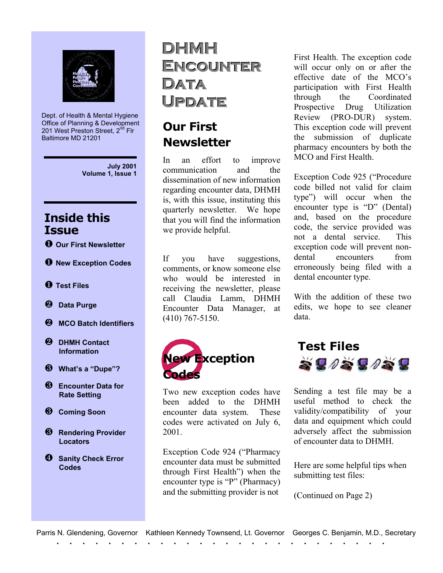

Dept. of Health & Mental Hygiene Office of Planning & Development 201 West Preston Street, 2<sup>nd</sup> Flr Baltimore MD 21201

> **July 2001 Volume 1, Issue 1**

#### **Inside this Issue**

- **Our First Newsletter**
- **New Exception Codes**
- **Test Files**
- **Data Purge**
- **MCO Batch Identifiers**
- **DHMH Contact Information**
- **What's a "Dupe"?**
- **8** Encounter Data for  **Rate Setting**
- $\odot$  Coming Soon
- **8** Rendering Provider  **Locators**
- **4** Sanity Check Error  **Codes**

## **DHMH**  $ENCOUNTER$ **DDaattaa** Update

### **Our First Newsletter**

In an effort to improve communication and the dissemination of new information regarding encounter data, DHMH is, with this issue, instituting this quarterly newsletter. We hope that you will find the information we provide helpful.

If you have suggestions, comments, or know someone else who would be interested in receiving the newsletter, please call Claudia Lamm, DHMH Encounter Data Manager, at (410) 767-5150.



Two new exception codes have been added to the DHMH encounter data system. These codes were activated on July 6, 2001.

Exception Code 924 ("Pharmacy encounter data must be submitted through First Health") when the encounter type is "P" (Pharmacy) and the submitting provider is not

First Health. The exception code will occur only on or after the effective date of the MCO's participation with First Health through the Coordinated Prospective Drug Utilization Review (PRO-DUR) system. This exception code will prevent the submission of duplicate pharmacy encounters by both the MCO and First Health.

Exception Code 925 ("Procedure code billed not valid for claim type") will occur when the encounter type is "D" (Dental) and, based on the procedure code, the service provided was not a dental service. This exception code will prevent nondental encounters from erroneously being filed with a dental encounter type.

With the addition of these two edits, we hope to see cleaner data.



Sending a test file may be a useful method to check the validity/compatibility of your data and equipment which could adversely affect the submission of encounter data to DHMH.

Here are some helpful tips when submitting test files:

(Continued on Page 2)

|  |  |  |  |  |  | Parris N. Glendening, Governor Kathleen Kennedy Townsend, Lt. Governor Georges C. Benjamin, M.D., Secretary |  |  |  |  |  |  |  |  |  |  |  |  |  |  |  |  |
|--|--|--|--|--|--|-------------------------------------------------------------------------------------------------------------|--|--|--|--|--|--|--|--|--|--|--|--|--|--|--|--|
|  |  |  |  |  |  |                                                                                                             |  |  |  |  |  |  |  |  |  |  |  |  |  |  |  |  |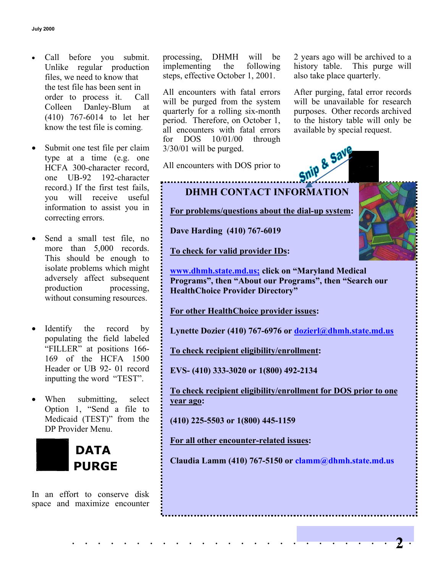- Call before you submit. Unlike regular production files, we need to know that the test file has been sent in order to process it. Call Colleen Danley-Blum at (410) 767-6014 to let her know the test file is coming.
- Submit one test file per claim type at a time (e.g. one HCFA 300-character record, one UB-92 192-character record.) If the first test fails, you will receive useful information to assist you in correcting errors.
- Send a small test file, no more than 5,000 records. This should be enough to isolate problems which might adversely affect subsequent production processing, without consuming resources.
- Identify the record by populating the field labeled "FILLER" at positions 166- 169 of the HCFA 1500 Header or UB 92- 01 record inputting the word "TEST".
- When submitting, select Option 1, "Send a file to Medicaid (TEST)" from the DP Provider Menu.



In an effort to conserve disk space and maximize encounter processing, DHMH will be implementing the following steps, effective October 1, 2001.

All encounters with fatal errors will be purged from the system quarterly for a rolling six-month period. Therefore, on October 1, all encounters with fatal errors for DOS 10/01/00 through 3/30/01 will be purged.

All encounters with DOS prior to

2 years ago will be archived to a history table. This purge will also take place quarterly.

After purging, fatal error records will be unavailable for research purposes. Other records archived to the history table will only be available by special request.





**For problems/questions about the dial-up system:**

**Dave Harding (410) 767-6019**

**To check for valid provider IDs:**

**[www.dhmh.state.md.us;](http://www.dhmh.state.md.us;/) click on "Maryland Medical Programs", then "About our Programs", then "Search our HealthChoice Provider Directory"**

**For other HealthChoice provider issues:**

**Lynette Dozier (410) 767-6976 or [dozierl@dhmh.state.md.us](mailto:ldozier@dhmh.state.md.us)**

**To check recipient eligibility/enrollment:**

**EVS- (410) 333-3020 or 1(800) 492-2134**

**To check recipient eligibility/enrollment for DOS prior to one year ago:**

**(410) 225-5503 or 1(800) 445-1159**

**For all other encounter-related issues:**

**Claudia Lamm (410) 767-5150 or clamm@dhmh.state.md.us**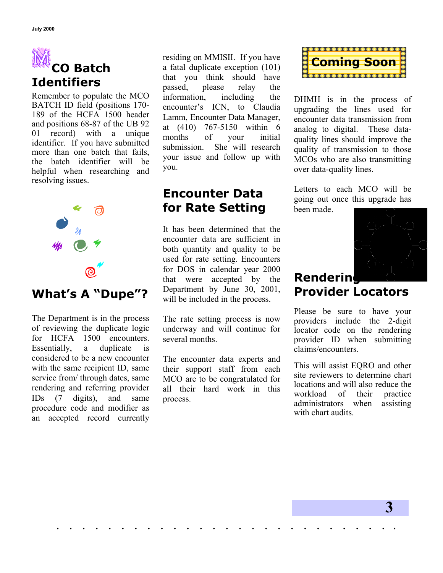# **CO Batch Identifiers**

Remember to populate the MCO BATCH ID field (positions 170- 189 of the HCFA 1500 header and positions 68-87 of the UB 92 01 record) with a unique identifier. If you have submitted more than one batch that fails, the batch identifier will be helpful when researching and resolving issues.



## **What's A "Dupe"?**

The Department is in the process of reviewing the duplicate logic for HCFA 1500 encounters. Essentially, a duplicate is considered to be a new encounter with the same recipient ID, same service from/ through dates, same rendering and referring provider IDs (7 digits), and same procedure code and modifier as an accepted record currently residing on MMISII. If you have a fatal duplicate exception (101) that you think should have passed, please relay the information, including the encounter's ICN, to Claudia Lamm, Encounter Data Manager, at (410) 767-5150 within 6 months of your initial submission. She will research your issue and follow up with you.

#### **Encounter Data for Rate Setting**

It has been determined that the encounter data are sufficient in both quantity and quality to be used for rate setting. Encounters for DOS in calendar year 2000 that were accepted by the Department by June 30, 2001, will be included in the process.

The rate setting process is now underway and will continue for several months.

The encounter data experts and their support staff from each MCO are to be congratulated for all their hard work in this process.

. . . . . . . . . . . . . . . . . . . . . . . . . . .



DHMH is in the process of upgrading the lines used for encounter data transmission from analog to digital. These dataquality lines should improve the quality of transmission to those MCOs who are also transmitting over data-quality lines.

Letters to each MCO will be going out once this upgrade has been made.



#### **Rendering Provider Locators**

Please be sure to have your providers include the 2-digit locator code on the rendering provider ID when submitting claims/encounters.

This will assist EQRO and other site reviewers to determine chart locations and will also reduce the workload of their practice administrators when assisting with chart audits.